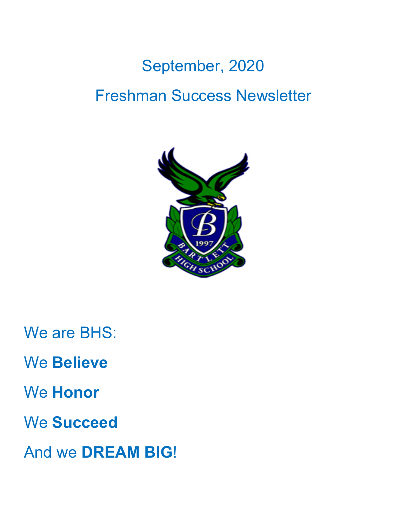# September, 2020 Freshman Success Newsletter



We are BHS:

We **Believe**

We **Honor**

We **Succeed**

And we **DREAM BIG**!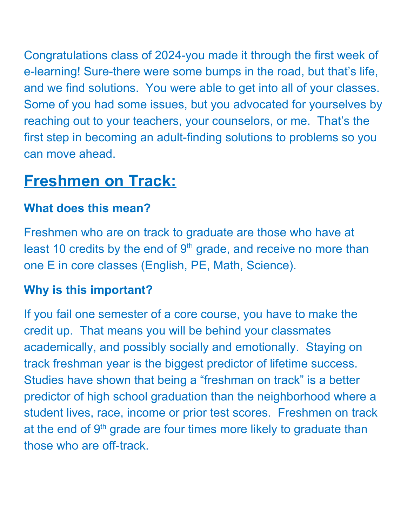Congratulations class of 2024-you made it through the first week of e-learning! Sure-there were some bumps in the road, but that's life, and we find solutions. You were able to get into all of your classes. Some of you had some issues, but you advocated for yourselves by reaching out to your teachers, your counselors, or me. That's the first step in becoming an adult-finding solutions to problems so you can move ahead.

## **Freshmen on Track:**

#### **What does this mean?**

Freshmen who are on track to graduate are those who have at least 10 credits by the end of  $9<sup>th</sup>$  grade, and receive no more than one E in core classes (English, PE, Math, Science).

#### **Why is this important?**

If you fail one semester of a core course, you have to make the credit up. That means you will be behind your classmates academically, and possibly socially and emotionally. Staying on track freshman year is the biggest predictor of lifetime success. Studies have shown that being a "freshman on track" is a better predictor of high school graduation than the neighborhood where a student lives, race, income or prior test scores. Freshmen on track at the end of 9<sup>th</sup> grade are four times more likely to graduate than those who are off-track.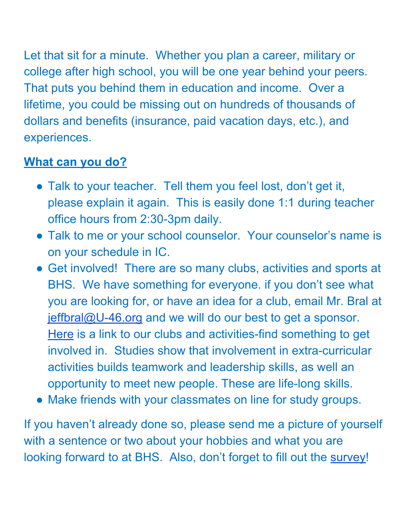Let that sit for a minute. Whether you plan a career, military or college after high school, you will be one year behind your peers. That puts you behind them in education and income. Over a lifetime, you could be missing out on hundreds of thousands of dollars and benefits (insurance, paid vacation days, etc.), and experiences.

#### **What can you do?**

- Talk to your teacher. Tell them you feel lost, don't get it, please explain it again. This is easily done 1:1 during teacher office hours from 2:30-3pm daily.
- Talk to me or your school counselor. Your counselor's name is on your schedule in IC.
- Get involved! There are so many clubs, activities and sports at BHS. We have something for everyone. if you don't see what you are looking for, or have an idea for a club, email Mr. Bral at [jeffbral@U-46.org](mailto:jeffbral@U-46.org) and we will do our best to get a sponsor. [Here](https://docs.google.com/document/d/1PW1QFthCfKCqM-BN71B6SDPEqAnl4tMVJHd1jmvPdfo/edit?userstoinvite=filomenabruno%40u-46.org&ts=5f4e7007) is a link to our clubs and activities-find something to get involved in. Studies show that involvement in extra-curricular activities builds teamwork and leadership skills, as well an opportunity to meet new people. These are life-long skills.
- Make friends with your classmates on line for study groups.

If you haven't already done so, please send me a picture of yourself with a sentence or two about your hobbies and what you are looking forward to at BHS. Also, don't forget to fill out the [survey](https://docs.google.com/forms/d/e/1FAIpQLSeIf9xAR9nZlx-Gx_-FatUZPjF1I5wwWjg7ybFGZ15xlbfwrg/viewform?usp=pp_url)!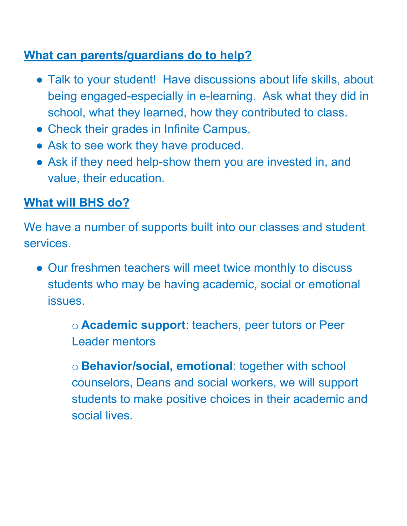#### **What can parents/guardians do to help?**

- Talk to your student! Have discussions about life skills, about being engaged-especially in e-learning. Ask what they did in school, what they learned, how they contributed to class.
- Check their grades in Infinite Campus.
- Ask to see work they have produced.
- Ask if they need help-show them you are invested in, and value, their education.

### **What will BHS do?**

We have a number of supports built into our classes and student services.

• Our freshmen teachers will meet twice monthly to discuss students who may be having academic, social or emotional issues.

> o **Academic support**: teachers, peer tutors or Peer Leader mentors

o **Behavior/social, emotional**: together with school counselors, Deans and social workers, we will support students to make positive choices in their academic and social lives.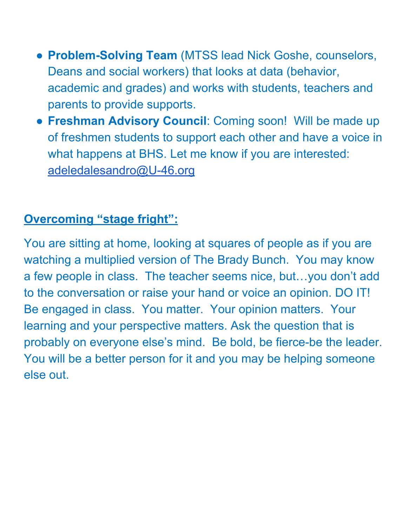- **Problem-Solving Team** (MTSS lead Nick Goshe, counselors, Deans and social workers) that looks at data (behavior, academic and grades) and works with students, teachers and parents to provide supports.
- **Freshman Advisory Council**: Coming soon! Will be made up of freshmen students to support each other and have a voice in what happens at BHS. Let me know if you are interested: [adeledalesandro@U-46.org](mailto:adeledalesandro@U-46.org)

#### **Overcoming "stage fright":**

You are sitting at home, looking at squares of people as if you are watching a multiplied version of The Brady Bunch. You may know a few people in class. The teacher seems nice, but…you don't add to the conversation or raise your hand or voice an opinion. DO IT! Be engaged in class. You matter. Your opinion matters. Your learning and your perspective matters. Ask the question that is probably on everyone else's mind. Be bold, be fierce-be the leader. You will be a better person for it and you may be helping someone else out.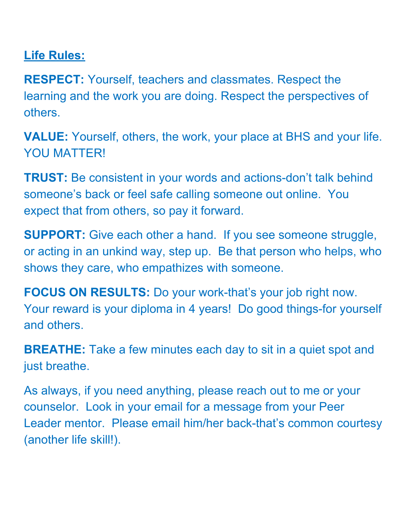#### **Life Rules:**

**RESPECT:** Yourself, teachers and classmates. Respect the learning and the work you are doing. Respect the perspectives of others.

**VALUE:** Yourself, others, the work, your place at BHS and your life. YOU MATTER!

**TRUST:** Be consistent in your words and actions-don't talk behind someone's back or feel safe calling someone out online. You expect that from others, so pay it forward.

**SUPPORT:** Give each other a hand. If you see someone struggle, or acting in an unkind way, step up. Be that person who helps, who shows they care, who empathizes with someone.

**FOCUS ON RESULTS:** Do your work-that's your job right now. Your reward is your diploma in 4 years! Do good things-for yourself and others.

**BREATHE:** Take a few minutes each day to sit in a quiet spot and just breathe.

As always, if you need anything, please reach out to me or your counselor. Look in your email for a message from your Peer Leader mentor. Please email him/her back-that's common courtesy (another life skill!).